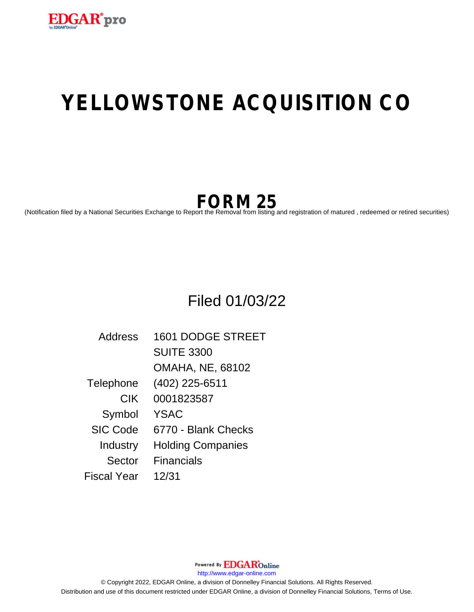

# **YELLOWSTONE ACQUISITION CO**

## **FORM 25**

(Notification filed by a National Securities Exchange to Report the Removal from listing and registration of matured , redeemed or retired securities)

### Filed 01/03/22

| Address         | 1601 DODGE STREET        |
|-----------------|--------------------------|
|                 | <b>SUITE 3300</b>        |
|                 | <b>OMAHA, NE, 68102</b>  |
| Telephone       | (402) 225-6511           |
| <b>CIK</b>      | 0001823587               |
| Symbol          | <b>YSAC</b>              |
| <b>SIC Code</b> | 6770 - Blank Checks      |
| Industry        | <b>Holding Companies</b> |
| Sector          | <b>Financials</b>        |
| Fiscal Year     | 12/31                    |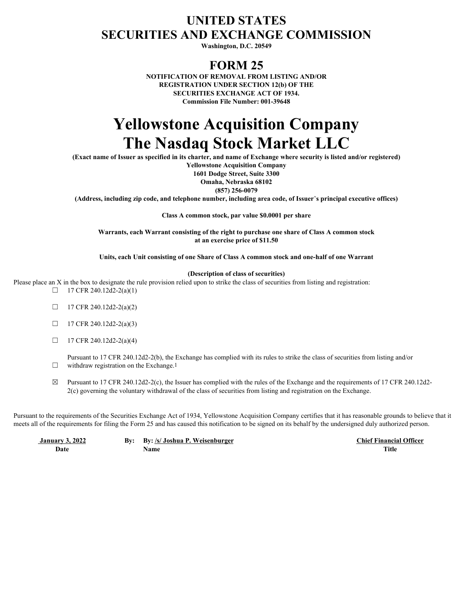### **UNITED STATES SECURITIES AND EXCHANGE COMMISSION**

**Washington, D.C. 20549**

#### **FORM 25**

**NOTIFICATION OF REMOVAL FROM LISTING AND/OR REGISTRATION UNDER SECTION 12(b) OF THE SECURITIES EXCHANGE ACT OF 1934. Commission File Number: 001-39648**

### **Yellowstone Acquisition Company The Nasdaq Stock Market LLC**

**(Exact name of Issuer as specified in its charter, and name of Exchange where security is listed and/or registered)**

**Yellowstone Acquisition Company 1601 Dodge Street, Suite 3300 Omaha, Nebraska 68102**

**(857) 256-0079**

**(Address, including zip code, and telephone number, including area code, of Issuer**'**s principal executive offices)**

**Class A common stock, par value \$0.0001 per share**

**Warrants, each Warrant consisting of the right to purchase one share of Class A common stock at an exercise price of \$11.50**

**Units, each Unit consisting of one Share of Class A common stock and one-half of one Warrant**

#### **(Description of class of securities)**

Please place an X in the box to designate the rule provision relied upon to strike the class of securities from listing and registration:  $\Box$  17 CFR 240.12d2-2(a)(1)

- $\Box$  17 CFR 240.12d2-2(a)(2)
- $\Box$  17 CFR 240.12d2-2(a)(3)
- $\Box$  17 CFR 240.12d2-2(a)(4)

 $\Box$  withdraw registration on the Exchange.<sup>1</sup> Pursuant to 17 CFR 240.12d2-2(b), the Exchange has complied with its rules to strike the class of securities from listing and/or

 $\boxtimes$  Pursuant to 17 CFR 240.12d2-2(c), the Issuer has complied with the rules of the Exchange and the requirements of 17 CFR 240.12d2-2(c) governing the voluntary withdrawal of the class of securities from listing and registration on the Exchange.

Pursuant to the requirements of the Securities Exchange Act of 1934, Yellowstone Acquisition Company certifies that it has reasonable grounds to believe that it meets all of the requirements for filing the Form 25 and has caused this notification to be signed on its behalf by the undersigned duly authorized person.

 **January 3, 2022 By: By: /s/ Joshua P. Weisenburger Chief Financial Officer Date Name Title**